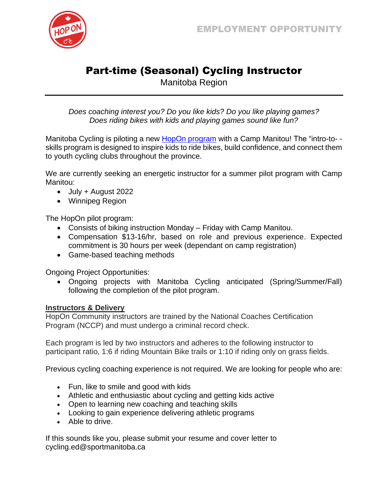

## Part-time (Seasonal) Cycling Instructor

Manitoba Region

*Does coaching interest you? Do you like kids? Do you like playing games? Does riding bikes with kids and playing games sound like fun?*

Manitoba Cycling is piloting a new **HopOn [program](https://hoponcanada.ca/)** with a Camp Manitou! The "intro-to-skills program is designed to inspire kids to ride bikes, build confidence, and connect them to youth cycling clubs throughout the province.

We are currently seeking an energetic instructor for a summer pilot program with Camp Manitou:

- July + August 2022
- Winnipeg Region

The HopOn pilot program:

- Consists of biking instruction Monday Friday with Camp Manitou.
- Compensation \$13-16/hr, based on role and previous experience. Expected commitment is 30 hours per week (dependant on camp registration)
- Game-based teaching methods

Ongoing Project Opportunities:

• Ongoing projects with Manitoba Cycling anticipated (Spring/Summer/Fall) following the completion of the pilot program.

## **Instructors & Delivery**

HopOn Community instructors are trained by the National Coaches Certification Program (NCCP) and must undergo a criminal record check.

Each program is led by two instructors and adheres to the following instructor to participant ratio, 1:6 if riding Mountain Bike trails or 1:10 if riding only on grass fields.

Previous cycling coaching experience is not required. We are looking for people who are:

- Fun, like to smile and good with kids
- Athletic and enthusiastic about cycling and getting kids active
- Open to learning new coaching and teaching skills
- Looking to gain experience delivering athletic programs
- Able to drive.

If this sounds like you, please submit your resume and cover letter to cycling.ed@sportmanitoba.ca